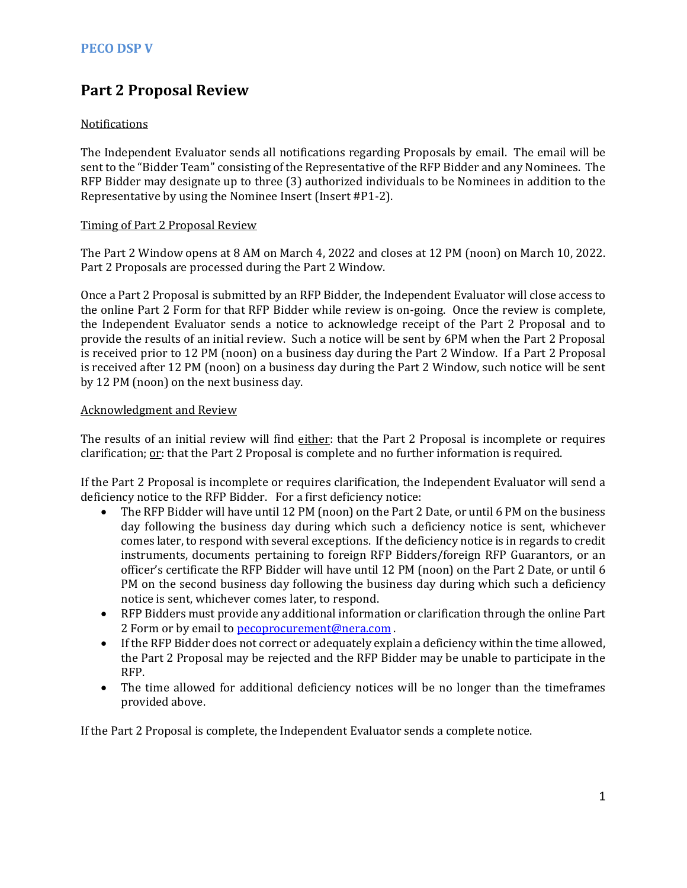# **Part 2 Proposal Review**

### Notifications

The Independent Evaluator sends all notifications regarding Proposals by email. The email will be sent to the "Bidder Team" consisting of the Representative of the RFP Bidder and any Nominees. The RFP Bidder may designate up to three (3) authorized individuals to be Nominees in addition to the Representative by using the Nominee Insert (Insert #P1-2).

#### Timing of Part 2 Proposal Review

The Part 2 Window opens at 8 AM on March 4, 2022 and closes at 12 PM (noon) on March 10, 2022. Part 2 Proposals are processed during the Part 2 Window.

Once a Part 2 Proposal is submitted by an RFP Bidder, the Independent Evaluator will close access to the online Part 2 Form for that RFP Bidder while review is on-going. Once the review is complete, the Independent Evaluator sends a notice to acknowledge receipt of the Part 2 Proposal and to provide the results of an initial review. Such a notice will be sent by 6PM when the Part 2 Proposal is received prior to 12 PM (noon) on a business day during the Part 2 Window. If a Part 2 Proposal is received after 12 PM (noon) on a business day during the Part 2 Window, such notice will be sent by 12 PM (noon) on the next business day.

#### Acknowledgment and Review

The results of an initial review will find either: that the Part 2 Proposal is incomplete or requires clarification;  $or$ : that the Part 2 Proposal is complete and no further information is required.</u>

If the Part 2 Proposal is incomplete or requires clarification, the Independent Evaluator will send a deficiency notice to the RFP Bidder. For a first deficiency notice:

- The RFP Bidder will have until 12 PM (noon) on the Part 2 Date, or until 6 PM on the business day following the business day during which such a deficiency notice is sent, whichever comes later, to respond with several exceptions. If the deficiency notice is in regards to credit instruments, documents pertaining to foreign RFP Bidders/foreign RFP Guarantors, or an officer's certificate the RFP Bidder will have until 12 PM (noon) on the Part 2 Date, or until 6 PM on the second business day following the business day during which such a deficiency notice is sent, whichever comes later, to respond.
- RFP Bidders must provide any additional information or clarification through the online Part 2 Form or by email t[o pecoprocurement@nera.com](mailto:pecoprocurement@nera.com).
- If the RFP Bidder does not correct or adequately explain a deficiency within the time allowed, the Part 2 Proposal may be rejected and the RFP Bidder may be unable to participate in the RFP.
- The time allowed for additional deficiency notices will be no longer than the timeframes provided above.

If the Part 2 Proposal is complete, the Independent Evaluator sends a complete notice.